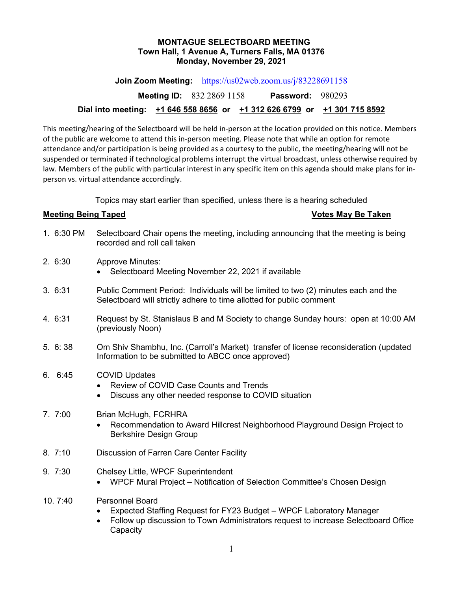## **MONTAGUE SELECTBOARD MEETING Town Hall, 1 Avenue A, Turners Falls, MA 01376 Monday, November 29, 2021**

**Join Zoom Meeting:** <https://us02web.zoom.us/j/83228691158>

**Meeting ID:** 832 2869 1158 **Password:** 980293

# **Dial into meeting: +1 646 558 8656 or +1 312 626 6799 or +1 301 715 8592**

This meeting/hearing of the Selectboard will be held in-person at the location provided on this notice. Members of the public are welcome to attend this in-person meeting. Please note that while an option for remote attendance and/or participation is being provided as a courtesy to the public, the meeting/hearing will not be suspended or terminated if technological problems interrupt the virtual broadcast, unless otherwise required by law. Members of the public with particular interest in any specific item on this agenda should make plans for inperson vs. virtual attendance accordingly.

Topics may start earlier than specified, unless there is a hearing scheduled

## **Meeting Being Taped Votes May Be Taken**

- 1. 6:30 PM Selectboard Chair opens the meeting, including announcing that the meeting is being recorded and roll call taken
- 2. 6:30 Approve Minutes:
	- Selectboard Meeting November 22, 2021 if available
- 3. 6:31 Public Comment Period: Individuals will be limited to two (2) minutes each and the Selectboard will strictly adhere to time allotted for public comment
- 4. 6:31 Request by St. Stanislaus B and M Society to change Sunday hours: open at 10:00 AM (previously Noon)
- 5. 6: 38 Om Shiv Shambhu, Inc. (Carroll's Market) transfer of license reconsideration (updated Information to be submitted to ABCC once approved)
- 6. 6:45 COVID Updates
	- Review of COVID Case Counts and Trends
	- Discuss any other needed response to COVID situation

# 7. 7:00 Brian McHugh, FCRHRA

- Recommendation to Award Hillcrest Neighborhood Playground Design Project to Berkshire Design Group
- 8. 7:10 Discussion of Farren Care Center Facility
- 9. 7:30 Chelsey Little, WPCF Superintendent
	- WPCF Mural Project Notification of Selection Committee's Chosen Design
- 10. 7:40 Personnel Board
	- Expected Staffing Request for FY23 Budget WPCF Laboratory Manager
	- Follow up discussion to Town Administrators request to increase Selectboard Office **Capacity**